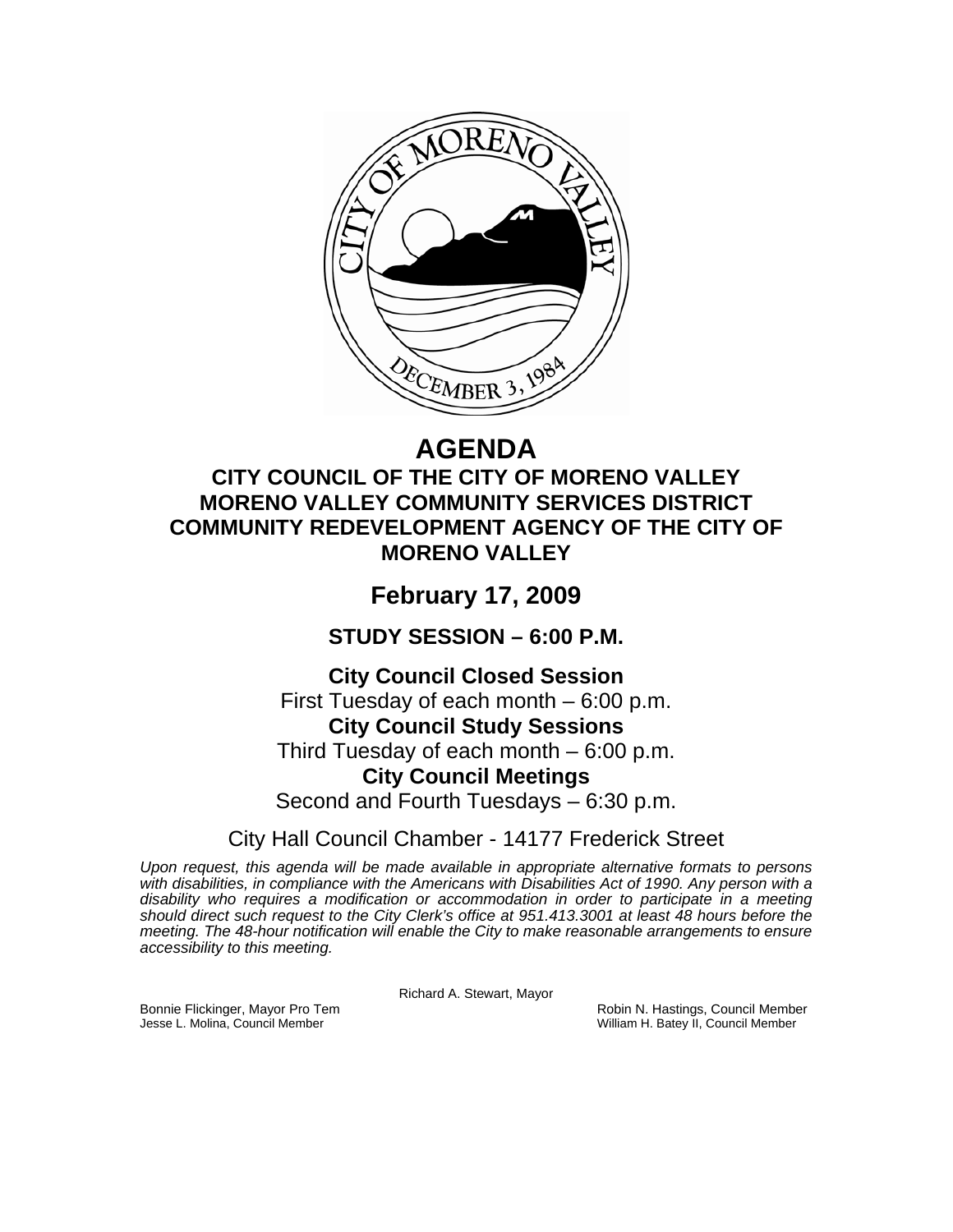

# **AGENDA**

## **CITY COUNCIL OF THE CITY OF MORENO VALLEY MORENO VALLEY COMMUNITY SERVICES DISTRICT COMMUNITY REDEVELOPMENT AGENCY OF THE CITY OF MORENO VALLEY**

# **February 17, 2009**

**STUDY SESSION – 6:00 P.M.** 

### **City Council Closed Session**

First Tuesday of each month – 6:00 p.m. **City Council Study Sessions**  Third Tuesday of each month – 6:00 p.m. **City Council Meetings**  Second and Fourth Tuesdays – 6:30 p.m.

City Hall Council Chamber - 14177 Frederick Street

*Upon request, this agenda will be made available in appropriate alternative formats to persons with disabilities, in compliance with the Americans with Disabilities Act of 1990. Any person with a disability who requires a modification or accommodation in order to participate in a meeting should direct such request to the City Clerk's office at 951.413.3001 at least 48 hours before the meeting. The 48-hour notification will enable the City to make reasonable arrangements to ensure accessibility to this meeting.* 

Richard A. Stewart, Mayor

Bonnie Flickinger, Mayor Pro Tem **Robin Access Council Member** Robin N. Hastings, Council Member<br>Jesse L. Molina, Council Member William H. Batey II, Council Member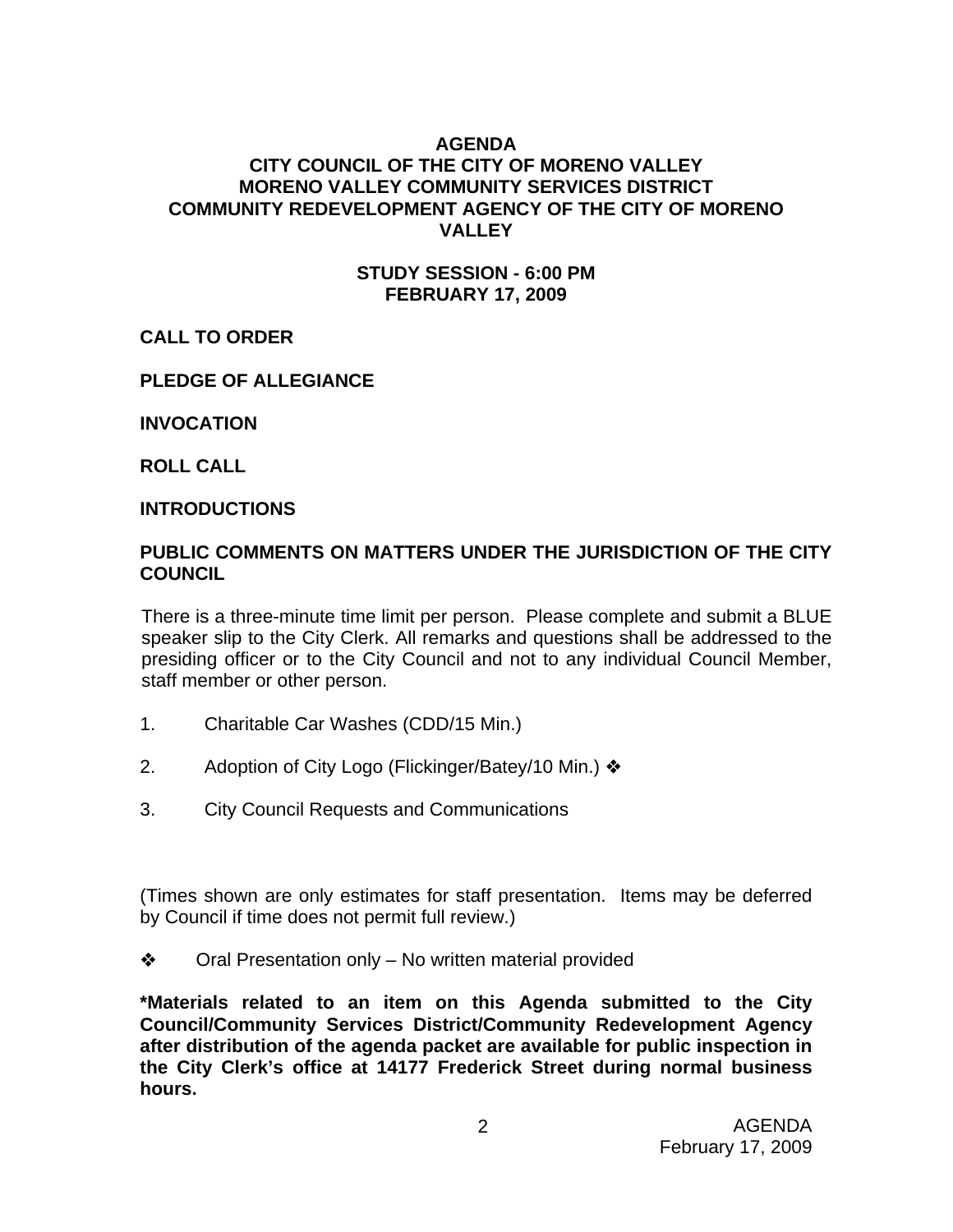#### **AGENDA**

#### **CITY COUNCIL OF THE CITY OF MORENO VALLEY MORENO VALLEY COMMUNITY SERVICES DISTRICT COMMUNITY REDEVELOPMENT AGENCY OF THE CITY OF MORENO VALLEY**

#### **STUDY SESSION - 6:00 PM FEBRUARY 17, 2009**

#### **CALL TO ORDER**

#### **PLEDGE OF ALLEGIANCE**

**INVOCATION** 

**ROLL CALL** 

#### **INTRODUCTIONS**

#### **PUBLIC COMMENTS ON MATTERS UNDER THE JURISDICTION OF THE CITY COUNCIL**

There is a three-minute time limit per person. Please complete and submit a BLUE speaker slip to the City Clerk. All remarks and questions shall be addressed to the presiding officer or to the City Council and not to any individual Council Member, staff member or other person.

- 1. Charitable Car Washes (CDD/15 Min.)
- 2. Adoption of City Logo (Flickinger/Batey/10 Min.) ❖
- 3. City Council Requests and Communications

(Times shown are only estimates for staff presentation. Items may be deferred by Council if time does not permit full review.)

**❖** Oral Presentation only – No written material provided

**\*Materials related to an item on this Agenda submitted to the City Council/Community Services District/Community Redevelopment Agency after distribution of the agenda packet are available for public inspection in the City Clerk's office at 14177 Frederick Street during normal business hours.**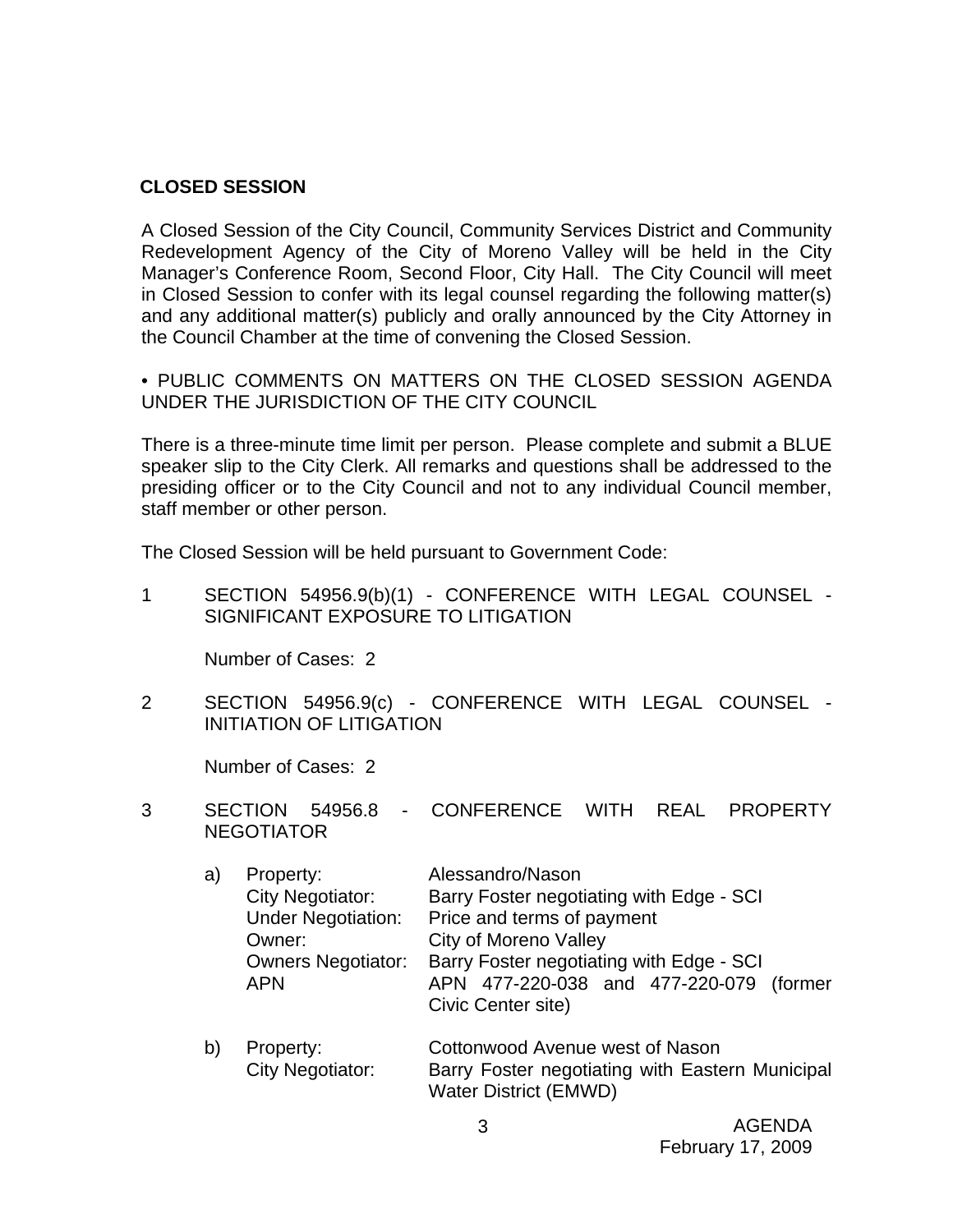#### **CLOSED SESSION**

A Closed Session of the City Council, Community Services District and Community Redevelopment Agency of the City of Moreno Valley will be held in the City Manager's Conference Room, Second Floor, City Hall. The City Council will meet in Closed Session to confer with its legal counsel regarding the following matter(s) and any additional matter(s) publicly and orally announced by the City Attorney in the Council Chamber at the time of convening the Closed Session.

• PUBLIC COMMENTS ON MATTERS ON THE CLOSED SESSION AGENDA UNDER THE JURISDICTION OF THE CITY COUNCIL

There is a three-minute time limit per person. Please complete and submit a BLUE speaker slip to the City Clerk. All remarks and questions shall be addressed to the presiding officer or to the City Council and not to any individual Council member, staff member or other person.

The Closed Session will be held pursuant to Government Code:

1 SECTION 54956.9(b)(1) - CONFERENCE WITH LEGAL COUNSEL - SIGNIFICANT EXPOSURE TO LITIGATION

Number of Cases: 2

2 SECTION 54956.9(c) - CONFERENCE WITH LEGAL COUNSEL - INITIATION OF LITIGATION

Number of Cases: 2

- 3 SECTION 54956.8 CONFERENCE WITH REAL PROPERTY NEGOTIATOR
	- a) Property: Alessandro/Nason City Negotiator: Barry Foster negotiating with Edge - SCI Under Negotiation: Price and terms of payment Owner: City of Moreno Valley Owners Negotiator: Barry Foster negotiating with Edge - SCI APN APN 477-220-038 and 477-220-079 (former Civic Center site)
	- b) Property: Cottonwood Avenue west of Nason City Negotiator: Barry Foster negotiating with Eastern Municipal Water District (EMWD)